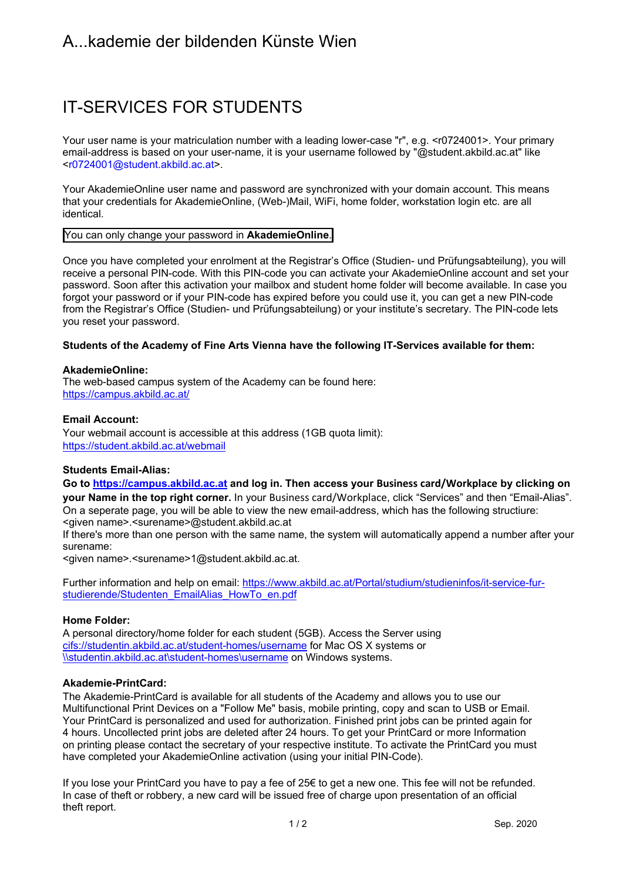# A...kademie der bildenden Künste Wien

# IT-SERVICES FOR STUDENTS

Your user name is your matriculation number with a leading lower-case "r", e.g. <r0724001>. Your primary email-address is based on your user-name, it is your username followed by "@student.akbild.ac.at" like <r0724001@student.akbild.ac.at>.

Your AkademieOnline user name and password are synchronized with your domain account. This means that your credentials for AkademieOnline, (Web-)Mail, WiFi, home folder, workstation login etc. are all identical.

# You can only change your password in **AkademieOnline**.

Once you have completed your enrolment at the Registrar's Office (Studien- und Prüfungsabteilung), you will receive a personal PIN-code. With this PIN-code you can activate your AkademieOnline account and set your password. Soon after this activation your mailbox and student home folder will become available. In case you forgot your password or if your PIN-code has expired before you could use it, you can get a new PIN-code from the Registrar's Office (Studien- und Prüfungsabteilung) or your institute's secretary. The PIN-code lets you reset your password.

# **Students of the Academy of Fine Arts Vienna have the following IT-Services available for them:**

#### **AkademieOnline:**

The web-based campus system of the Academy can be found here: https://campus.akbild.ac.at/

# **Email Account:**

Your webmail account is accessible at this address (1GB quota limit): https://student.akbild.ac.at/webmail

#### **Students Email-Alias:**

**Go to https://campus.akbild.ac.at and log in. Then access your Business card/Workplace by clicking on your Name in the top right corner.** In your Business card/Workplace, click "Services" and then "Email-Alias". On a seperate page, you will be able to view the new email-address, which has the following structiure: <given name>.<surename>@student.akbild.ac.at

If there's more than one person with the same name, the system will automatically append a number after your surename:

<given name>.<surename>1@student.akbild.ac.at.

Further information and help on email: https://www.akbild.ac.at/Portal/studium/studieninfos/it-service-furstudierende/Studenten\_EmailAlias\_HowTo\_en.pdf

#### **Home Folder:**

A personal directory/home folder for each student (5GB). Access the Server using cifs://studentin.akbild.ac.at/student-homes/username for Mac OS X systems or \\studentin.akbild.ac.at\student-homes\username on Windows systems.

#### **Akademie-PrintCard:**

The Akademie-PrintCard is available for all students of the Academy and allows you to use our Multifunctional Print Devices on a "Follow Me" basis, mobile printing, copy and scan to USB or Email. Your PrintCard is personalized and used for authorization. Finished print jobs can be printed again for 4 hours. Uncollected print jobs are deleted after 24 hours. To get your PrintCard or more Information on printing please contact the secretary of your respective institute. To activate the PrintCard you must have completed your AkademieOnline activation (using your initial PIN-Code).

If you lose your PrintCard you have to pay a fee of 25€ to get a new one. This fee will not be refunded. In case of theft or robbery, a new card will be issued free of charge upon presentation of an official theft report.